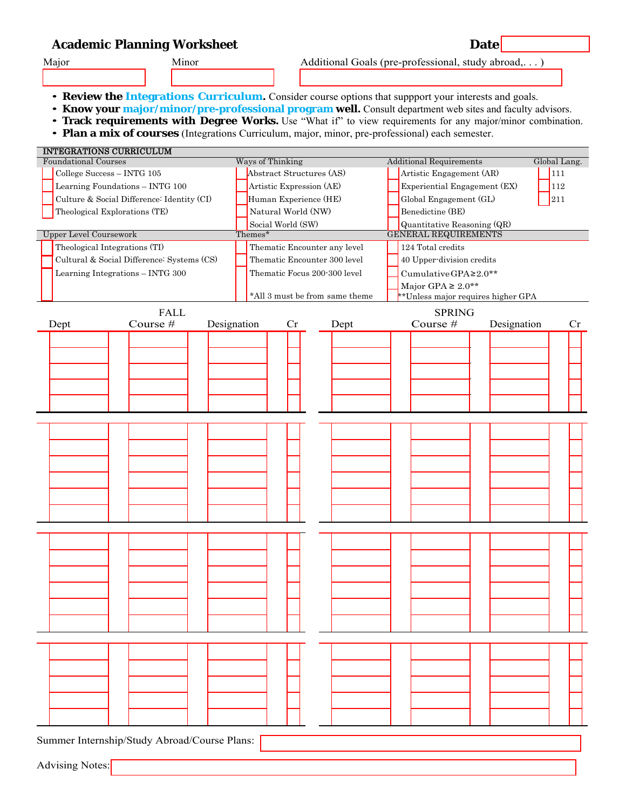# **Academic Planning Worksheet Date 2018 19:30 Date**

- Major Minor Minor Additional Goals (pre-professional, study abroad,...)
	- Review the Integrations Curriculum. Consider course options that suppport your interests and goals.
	- Know your major/minor/pre-professional program well. Consult department web sites and faculty advisors.
	- **Track requirements with Degree Works.** Use "What if" to view requirements for any major/minor combination.
	- *•* **Plan a mix of courses** (Integrations Curriculum, major, minor, pre-professional) each semester.

| <b>INTEGRATIONS CURRICULUM</b>               |             |                                |                          |    |      |                                     |                                |             |  |              |  |
|----------------------------------------------|-------------|--------------------------------|--------------------------|----|------|-------------------------------------|--------------------------------|-------------|--|--------------|--|
| <b>Foundational Courses</b>                  |             |                                | Ways of Thinking         |    |      |                                     | <b>Additional Requirements</b> |             |  | Global Lang. |  |
| College Success - INTG 105                   |             |                                | Abstract Structures (AS) |    |      | Artistic Engagement (AR)<br>111     |                                |             |  |              |  |
| Learning Foundations - INTG 100              |             |                                | Artistic Expression (AE) |    |      | Experiential Engagement (EX)<br>112 |                                |             |  |              |  |
| Culture & Social Difference: Identity (CI)   |             |                                | Human Experience (HE)    |    |      | Global Engagement (GL)<br>211       |                                |             |  |              |  |
| Theological Explorations (TE)                |             |                                | Natural World (NW)       |    |      |                                     | Benedictine (BE)               |             |  |              |  |
|                                              |             |                                | Social World (SW)        |    |      |                                     | Quantitative Reasoning (QR)    |             |  |              |  |
| <b>Upper Level Coursework</b>                |             | Themes*                        |                          |    |      | <b>GENERAL REQUIREMENTS</b>         |                                |             |  |              |  |
| Theological Integrations (TI)                |             | Thematic Encounter any level   |                          |    |      | 124 Total credits                   |                                |             |  |              |  |
| Cultural & Social Difference: Systems (CS)   |             | Thematic Encounter 300 level   |                          |    |      | 40 Upper-division credits           |                                |             |  |              |  |
| Learning Integrations - INTG 300             |             | Thematic Focus 200-300 level   |                          |    |      | CumulativeGPA≥2.0**                 |                                |             |  |              |  |
|                                              |             |                                |                          |    |      | Major GPA $\geq 2.0**$              |                                |             |  |              |  |
|                                              |             | *All 3 must be from same theme |                          |    |      | **Unless major requires higher GPA  |                                |             |  |              |  |
|                                              | <b>FALL</b> |                                |                          |    |      |                                     |                                |             |  |              |  |
|                                              |             | <b>SPRING</b>                  |                          |    |      |                                     |                                |             |  |              |  |
| Dept                                         | Course #    | Designation                    |                          | Cr | Dept |                                     | Course #                       | Designation |  | Cr           |  |
|                                              |             |                                |                          |    |      |                                     |                                |             |  |              |  |
|                                              |             |                                |                          |    |      |                                     |                                |             |  |              |  |
|                                              |             |                                |                          |    |      |                                     |                                |             |  |              |  |
|                                              |             |                                |                          |    |      |                                     |                                |             |  |              |  |
|                                              |             |                                |                          |    |      |                                     |                                |             |  |              |  |
|                                              |             |                                |                          |    |      |                                     |                                |             |  |              |  |
|                                              |             |                                |                          |    |      |                                     |                                |             |  |              |  |
|                                              |             |                                |                          |    |      |                                     |                                |             |  |              |  |
|                                              |             |                                |                          |    |      |                                     |                                |             |  |              |  |
|                                              |             |                                |                          |    |      |                                     |                                |             |  |              |  |
|                                              |             |                                |                          |    |      |                                     |                                |             |  |              |  |
|                                              |             |                                |                          |    |      |                                     |                                |             |  |              |  |
|                                              |             |                                |                          |    |      |                                     |                                |             |  |              |  |
|                                              |             |                                |                          |    |      |                                     |                                |             |  |              |  |
|                                              |             |                                |                          |    |      |                                     |                                |             |  |              |  |
|                                              |             |                                |                          |    |      |                                     |                                |             |  |              |  |
|                                              |             |                                |                          |    |      |                                     |                                |             |  |              |  |
|                                              |             |                                |                          |    |      |                                     |                                |             |  |              |  |
|                                              |             |                                |                          |    |      |                                     |                                |             |  |              |  |
|                                              |             |                                |                          |    |      |                                     |                                |             |  |              |  |
|                                              |             |                                |                          |    |      |                                     |                                |             |  |              |  |
|                                              |             |                                |                          |    |      |                                     |                                |             |  |              |  |
|                                              |             |                                |                          |    |      |                                     |                                |             |  |              |  |
|                                              |             |                                |                          |    |      |                                     |                                |             |  |              |  |
|                                              |             |                                |                          |    |      |                                     |                                |             |  |              |  |
|                                              |             |                                |                          |    |      |                                     |                                |             |  |              |  |
|                                              |             |                                |                          |    |      |                                     |                                |             |  |              |  |
|                                              |             |                                |                          |    |      |                                     |                                |             |  |              |  |
|                                              |             |                                |                          |    |      |                                     |                                |             |  |              |  |
|                                              |             |                                |                          |    |      |                                     |                                |             |  |              |  |
|                                              |             |                                |                          |    |      |                                     |                                |             |  |              |  |
|                                              |             |                                |                          |    |      |                                     |                                |             |  |              |  |
|                                              |             |                                |                          |    |      |                                     |                                |             |  |              |  |
|                                              |             |                                |                          |    |      |                                     |                                |             |  |              |  |
| Summer Internship/Study Abroad/Course Plans: |             |                                |                          |    |      |                                     |                                |             |  |              |  |
|                                              |             |                                |                          |    |      |                                     |                                |             |  |              |  |